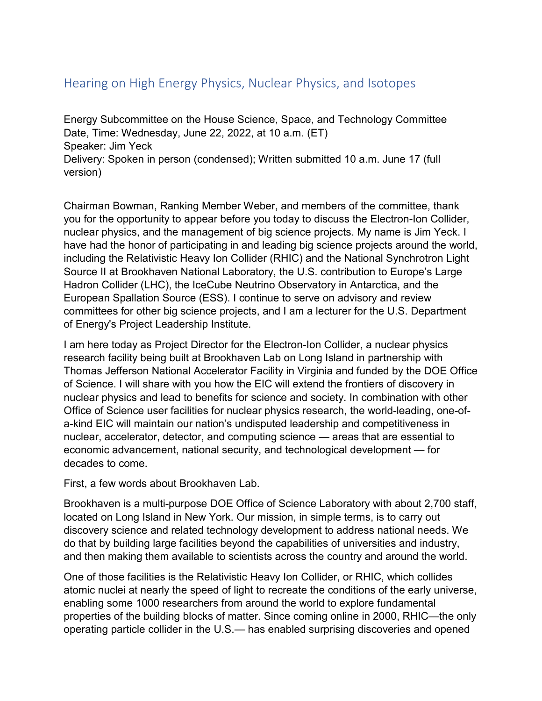## Hearing on High Energy Physics, Nuclear Physics, and Isotopes

Energy Subcommittee on the House Science, Space, and Technology Committee Date, Time: Wednesday, June 22, 2022, at 10 a.m. (ET) Speaker: Jim Yeck Delivery: Spoken in person (condensed); Written submitted 10 a.m. June 17 (full version)

Chairman Bowman, Ranking Member Weber, and members of the committee, thank you for the opportunity to appear before you today to discuss the Electron-Ion Collider, nuclear physics, and the management of big science projects. My name is Jim Yeck. I have had the honor of participating in and leading big science projects around the world, including the Relativistic Heavy Ion Collider (RHIC) and the National Synchrotron Light Source II at Brookhaven National Laboratory, the U.S. contribution to Europe's Large Hadron Collider (LHC), the IceCube Neutrino Observatory in Antarctica, and the European Spallation Source (ESS). I continue to serve on advisory and review committees for other big science projects, and I am a lecturer for the U.S. Department of Energy's Project Leadership Institute.

I am here today as Project Director for the Electron-Ion Collider, a nuclear physics research facility being built at Brookhaven Lab on Long Island in partnership with Thomas Jefferson National Accelerator Facility in Virginia and funded by the DOE Office of Science. I will share with you how the EIC will extend the frontiers of discovery in nuclear physics and lead to benefits for science and society. In combination with other Office of Science user facilities for nuclear physics research, the world-leading, one-ofa-kind EIC will maintain our nation's undisputed leadership and competitiveness in nuclear, accelerator, detector, and computing science — areas that are essential to economic advancement, national security, and technological development — for decades to come.

First, a few words about Brookhaven Lab.

Brookhaven is a multi-purpose DOE Office of Science Laboratory with about 2,700 staff, located on Long Island in New York. Our mission, in simple terms, is to carry out discovery science and related technology development to address national needs. We do that by building large facilities beyond the capabilities of universities and industry, and then making them available to scientists across the country and around the world.

One of those facilities is the Relativistic Heavy Ion Collider, or RHIC, which collides atomic nuclei at nearly the speed of light to recreate the conditions of the early universe, enabling some 1000 researchers from around the world to explore fundamental properties of the building blocks of matter. Since coming online in 2000, RHIC—the only operating particle collider in the U.S.— has enabled surprising discoveries and opened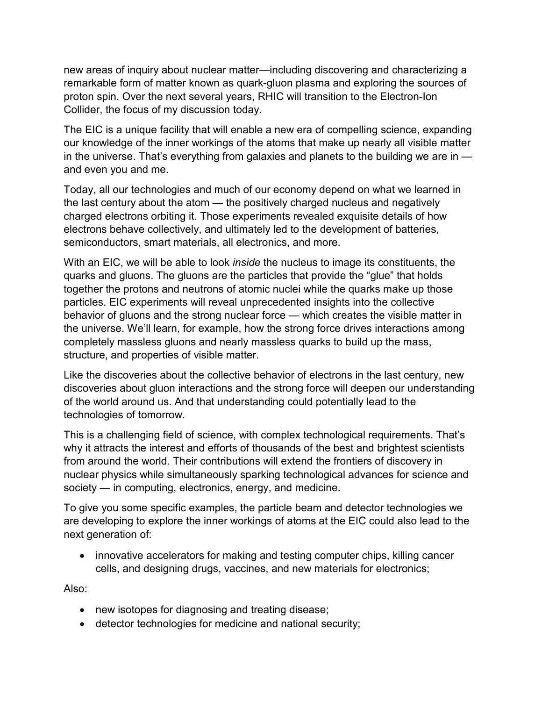new areas of inquiry about nuclear matter—including discovering and characterizing a remarkable form of matter known as quark-gluon plasma and exploring the sources of proton spin. Over the next several years, RHIC will transition to the Electron-Ion Collider, the focus of my discussion today.

The EIC is a unique facility that will enable a new era of compelling science, expanding our knowledge of the inner workings of the atoms that make up nearly all visible matter in the universe. That's everything from galaxies and planets to the building we are in  $$ and even you and me.

Today, all our technologies and much of our economy depend on what we learned in the last century about the atom — the positively charged nucleus and negatively charged electrons orbiting it. Those experiments revealed exquisite details of how electrons behave collectively, and ultimately led to the development of batteries, semiconductors, smart materials, all electronics, and more.

With an EIC, we will be able to look *inside* the nucleus to image its constituents, the quarks and gluons. The gluons are the particles that provide the "glue" that holds together the protons and neutrons of atomic nuclei while the quarks make up those particles. EIC experiments will reveal unprecedented insights into the collective behavior of gluons and the strong nuclear force — which creates the visible matter in the universe. We'll learn, for example, how the strong force drives interactions among completely massless gluons and nearly massless quarks to build up the mass, structure, and properties of visible matter.

Like the discoveries about the collective behavior of electrons in the last century, new discoveries about gluon interactions and the strong force will deepen our understanding of the world around us. And that understanding could potentially lead to the technologies of tomorrow.

This is a challenging field of science, with complex technological requirements. That's why it attracts the interest and efforts of thousands of the best and brightest scientists from around the world. Their contributions will extend the frontiers of discovery in nuclear physics while simultaneously sparking technological advances for science and society — in computing, electronics, energy, and medicine.

To give you some specific examples, the particle beam and detector technologies we are developing to explore the inner workings of atoms at the EIC could also lead to the next generation of:

• innovative accelerators for making and testing computer chips, killing cancer cells, and designing drugs, vaccines, and new materials for electronics;

Also:

- new isotopes for diagnosing and treating disease;
- detector technologies for medicine and national security;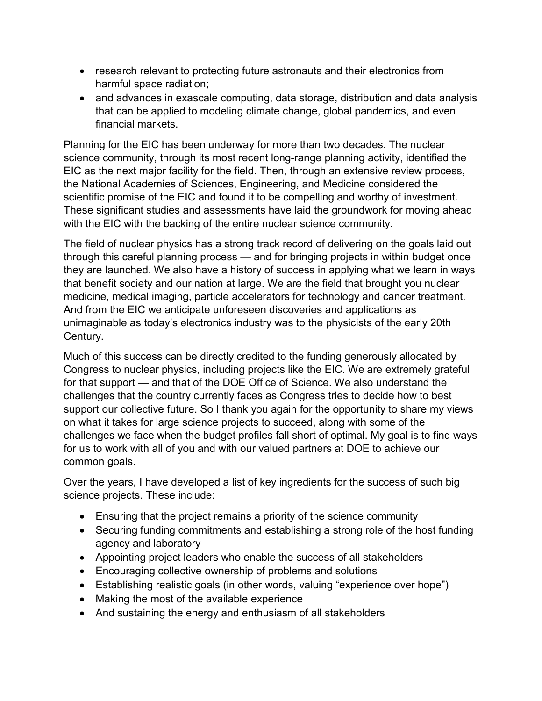- research relevant to protecting future astronauts and their electronics from harmful space radiation;
- and advances in exascale computing, data storage, distribution and data analysis that can be applied to modeling climate change, global pandemics, and even financial markets.

Planning for the EIC has been underway for more than two decades. The nuclear science community, through its most recent long-range planning activity, identified the EIC as the next major facility for the field. Then, through an extensive review process, the National Academies of Sciences, Engineering, and Medicine considered the scientific promise of the EIC and found it to be compelling and worthy of investment. These significant studies and assessments have laid the groundwork for moving ahead with the EIC with the backing of the entire nuclear science community.

The field of nuclear physics has a strong track record of delivering on the goals laid out through this careful planning process — and for bringing projects in within budget once they are launched. We also have a history of success in applying what we learn in ways that benefit society and our nation at large. We are the field that brought you nuclear medicine, medical imaging, particle accelerators for technology and cancer treatment. And from the EIC we anticipate unforeseen discoveries and applications as unimaginable as today's electronics industry was to the physicists of the early 20th Century.

Much of this success can be directly credited to the funding generously allocated by Congress to nuclear physics, including projects like the EIC. We are extremely grateful for that support — and that of the DOE Office of Science. We also understand the challenges that the country currently faces as Congress tries to decide how to best support our collective future. So I thank you again for the opportunity to share my views on what it takes for large science projects to succeed, along with some of the challenges we face when the budget profiles fall short of optimal. My goal is to find ways for us to work with all of you and with our valued partners at DOE to achieve our common goals.

Over the years, I have developed a list of key ingredients for the success of such big science projects. These include:

- Ensuring that the project remains a priority of the science community
- Securing funding commitments and establishing a strong role of the host funding agency and laboratory
- Appointing project leaders who enable the success of all stakeholders
- Encouraging collective ownership of problems and solutions
- Establishing realistic goals (in other words, valuing "experience over hope")
- Making the most of the available experience
- And sustaining the energy and enthusiasm of all stakeholders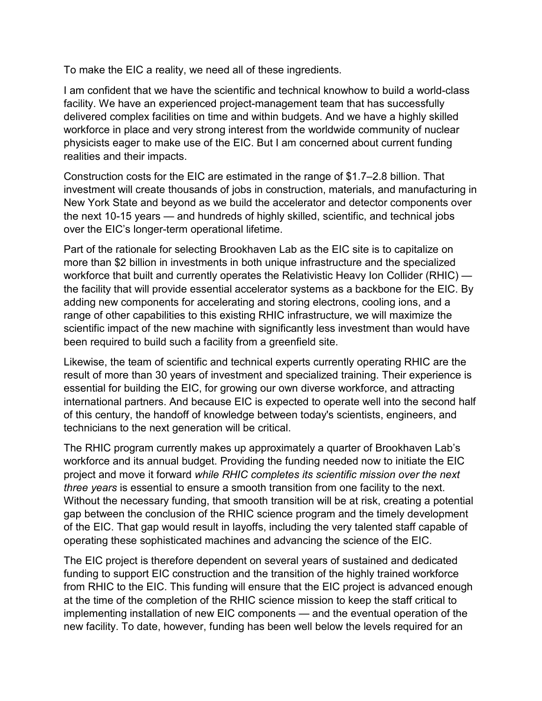To make the EIC a reality, we need all of these ingredients.

I am confident that we have the scientific and technical knowhow to build a world-class facility. We have an experienced project-management team that has successfully delivered complex facilities on time and within budgets. And we have a highly skilled workforce in place and very strong interest from the worldwide community of nuclear physicists eager to make use of the EIC. But I am concerned about current funding realities and their impacts.

Construction costs for the EIC are estimated in the range of \$1.7–2.8 billion. That investment will create thousands of jobs in construction, materials, and manufacturing in New York State and beyond as we build the accelerator and detector components over the next 10-15 years — and hundreds of highly skilled, scientific, and technical jobs over the EIC's longer-term operational lifetime.

Part of the rationale for selecting Brookhaven Lab as the EIC site is to capitalize on more than \$2 billion in investments in both unique infrastructure and the specialized workforce that built and currently operates the Relativistic Heavy Ion Collider (RHIC) the facility that will provide essential accelerator systems as a backbone for the EIC. By adding new components for accelerating and storing electrons, cooling ions, and a range of other capabilities to this existing RHIC infrastructure, we will maximize the scientific impact of the new machine with significantly less investment than would have been required to build such a facility from a greenfield site.

Likewise, the team of scientific and technical experts currently operating RHIC are the result of more than 30 years of investment and specialized training. Their experience is essential for building the EIC, for growing our own diverse workforce, and attracting international partners. And because EIC is expected to operate well into the second half of this century, the handoff of knowledge between today's scientists, engineers, and technicians to the next generation will be critical.

The RHIC program currently makes up approximately a quarter of Brookhaven Lab's workforce and its annual budget. Providing the funding needed now to initiate the EIC project and move it forward *while RHIC completes its scientific mission over the next three years* is essential to ensure a smooth transition from one facility to the next. Without the necessary funding, that smooth transition will be at risk, creating a potential gap between the conclusion of the RHIC science program and the timely development of the EIC. That gap would result in layoffs, including the very talented staff capable of operating these sophisticated machines and advancing the science of the EIC.

The EIC project is therefore dependent on several years of sustained and dedicated funding to support EIC construction and the transition of the highly trained workforce from RHIC to the EIC. This funding will ensure that the EIC project is advanced enough at the time of the completion of the RHIC science mission to keep the staff critical to implementing installation of new EIC components — and the eventual operation of the new facility. To date, however, funding has been well below the levels required for an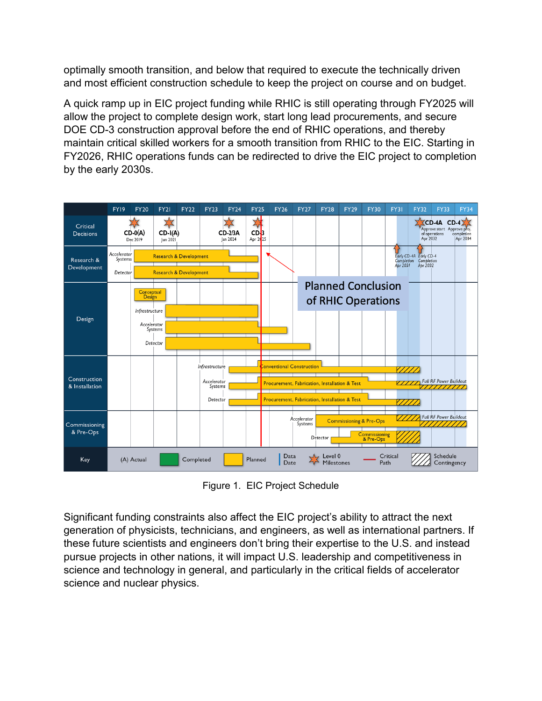optimally smooth transition, and below that required to execute the technically driven and most efficient construction schedule to keep the project on course and on budget.

A quick ramp up in EIC project funding while RHIC is still operating through FY2025 will allow the project to complete design work, start long lead procurements, and secure DOE CD-3 construction approval before the end of RHIC operations, and thereby maintain critical skilled workers for a smooth transition from RHIC to the EIC. Starting in FY2026, RHIC operations funds can be redirected to drive the EIC project to completion by the early 2030s.



Figure 1. EIC Project Schedule

Significant funding constraints also affect the EIC project's ability to attract the next generation of physicists, technicians, and engineers, as well as international partners. If these future scientists and engineers don't bring their expertise to the U.S. and instead pursue projects in other nations, it will impact U.S. leadership and competitiveness in science and technology in general, and particularly in the critical fields of accelerator science and nuclear physics.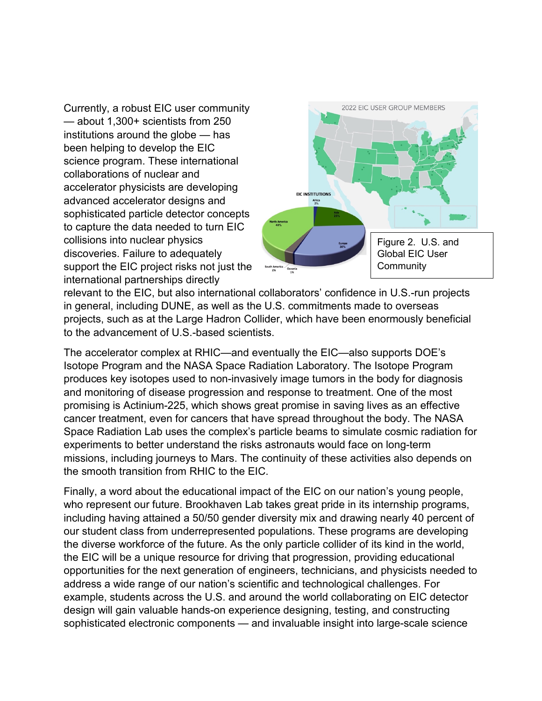Currently, a robust EIC user community — about 1,300+ scientists from 250 institutions around the globe — has been helping to develop the EIC science program. These international collaborations of nuclear and accelerator physicists are developing advanced accelerator designs and sophisticated particle detector concepts to capture the data needed to turn EIC collisions into nuclear physics discoveries. Failure to adequately support the EIC project risks not just the international partnerships directly



relevant to the EIC, but also international collaborators' confidence in U.S.-run projects in general, including DUNE, as well as the U.S. commitments made to overseas projects, such as at the Large Hadron Collider, which have been enormously beneficial to the advancement of U.S.-based scientists.

The accelerator complex at RHIC—and eventually the EIC—also supports DOE's Isotope Program and the NASA Space Radiation Laboratory. The Isotope Program produces key isotopes used to non-invasively image tumors in the body for diagnosis and monitoring of disease progression and response to treatment. One of the most promising is Actinium-225, which shows great promise in saving lives as an effective cancer treatment, even for cancers that have spread throughout the body. The NASA Space Radiation Lab uses the complex's particle beams to simulate cosmic radiation for experiments to better understand the risks astronauts would face on long-term missions, including journeys to Mars. The continuity of these activities also depends on the smooth transition from RHIC to the EIC.

Finally, a word about the educational impact of the EIC on our nation's young people, who represent our future. Brookhaven Lab takes great pride in its internship programs, including having attained a 50/50 gender diversity mix and drawing nearly 40 percent of our student class from underrepresented populations. These programs are developing the diverse workforce of the future. As the only particle collider of its kind in the world, the EIC will be a unique resource for driving that progression, providing educational opportunities for the next generation of engineers, technicians, and physicists needed to address a wide range of our nation's scientific and technological challenges. For example, students across the U.S. and around the world collaborating on EIC detector design will gain valuable hands-on experience designing, testing, and constructing sophisticated electronic components — and invaluable insight into large-scale science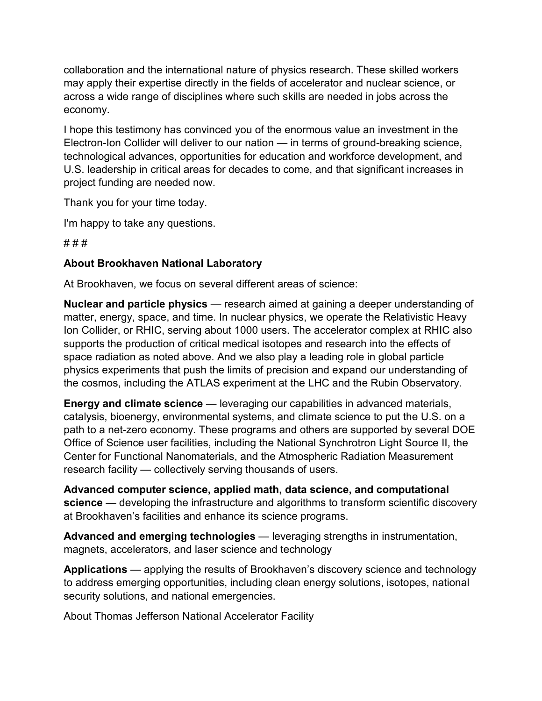collaboration and the international nature of physics research. These skilled workers may apply their expertise directly in the fields of accelerator and nuclear science, or across a wide range of disciplines where such skills are needed in jobs across the economy.

I hope this testimony has convinced you of the enormous value an investment in the Electron-Ion Collider will deliver to our nation — in terms of ground-breaking science, technological advances, opportunities for education and workforce development, and U.S. leadership in critical areas for decades to come, and that significant increases in project funding are needed now.

Thank you for your time today.

I'm happy to take any questions.

# # #

## **About Brookhaven National Laboratory**

At Brookhaven, we focus on several different areas of science:

**Nuclear and particle physics** — research aimed at gaining a deeper understanding of matter, energy, space, and time. In nuclear physics, we operate the Relativistic Heavy Ion Collider, or RHIC, serving about 1000 users. The accelerator complex at RHIC also supports the production of critical medical isotopes and research into the effects of space radiation as noted above. And we also play a leading role in global particle physics experiments that push the limits of precision and expand our understanding of the cosmos, including the ATLAS experiment at the LHC and the Rubin Observatory.

**Energy and climate science** — leveraging our capabilities in advanced materials, catalysis, bioenergy, environmental systems, and climate science to put the U.S. on a path to a net-zero economy. These programs and others are supported by several DOE Office of Science user facilities, including the National Synchrotron Light Source II, the Center for Functional Nanomaterials, and the Atmospheric Radiation Measurement research facility — collectively serving thousands of users.

**Advanced computer science, applied math, data science, and computational science** — developing the infrastructure and algorithms to transform scientific discovery at Brookhaven's facilities and enhance its science programs.

**Advanced and emerging technologies** — leveraging strengths in instrumentation, magnets, accelerators, and laser science and technology

**Applications** — applying the results of Brookhaven's discovery science and technology to address emerging opportunities, including clean energy solutions, isotopes, national security solutions, and national emergencies.

About Thomas Jefferson National Accelerator Facility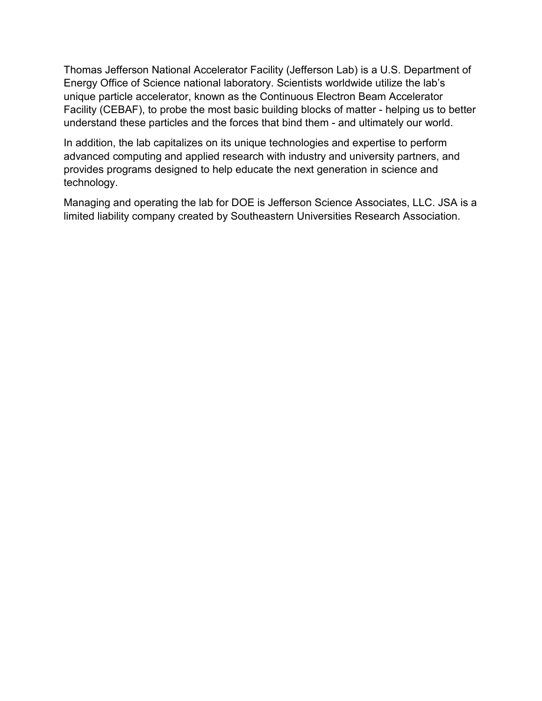Thomas Jefferson National Accelerator Facility (Jefferson Lab) is a U.S. Department of Energy Office of Science national laboratory. Scientists worldwide utilize the lab's unique particle accelerator, known as the Continuous Electron Beam Accelerator Facility (CEBAF), to probe the most basic building blocks of matter - helping us to better understand these particles and the forces that bind them - and ultimately our world.

In addition, the lab capitalizes on its unique technologies and expertise to perform advanced computing and applied research with industry and university partners, and provides programs designed to help educate the next generation in science and technology.

Managing and operating the lab for DOE is Jefferson Science Associates, LLC. JSA is a limited liability company created by Southeastern Universities Research Association.